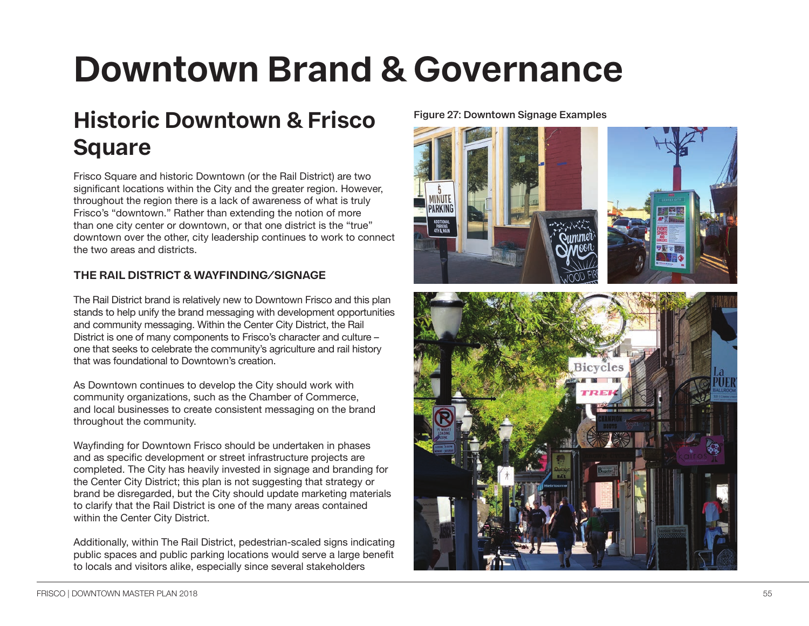# **Downtown Brand & Governance**

# **Historic Downtown & Frisco Square**

Frisco Square and historic Downtown (or the Rail District) are two significant locations within the City and the greater region. However, throughout the region there is a lack of awareness of what is truly Frisco's "downtown." Rather than extending the notion of more than one city center or downtown, or that one district is the "true" downtown over the other, city leadership continues to work to connect the two areas and districts.

## **THE RAIL DISTRICT & WAYFINDING/SIGNAGE**

The Rail District brand is relatively new to Downtown Frisco and this plan stands to help unify the brand messaging with development opportunities and community messaging. Within the Center City District, the Rail District is one of many components to Frisco's character and culture – one that seeks to celebrate the community's agriculture and rail history that was foundational to Downtown's creation.

As Downtown continues to develop the City should work with community organizations, such as the Chamber of Commerce, and local businesses to create consistent messaging on the brand throughout the community.

Wayfinding for Downtown Frisco should be undertaken in phases and as specific development or street infrastructure projects are completed. The City has heavily invested in signage and branding for the Center City District; this plan is not suggesting that strategy or brand be disregarded, but the City should update marketing materials to clarify that the Rail District is one of the many areas contained within the Center City District.

Additionally, within The Rail District, pedestrian-scaled signs indicating public spaces and public parking locations would serve a large benefit to locals and visitors alike, especially since several stakeholders

#### **Figure 27: Downtown Signage Examples**

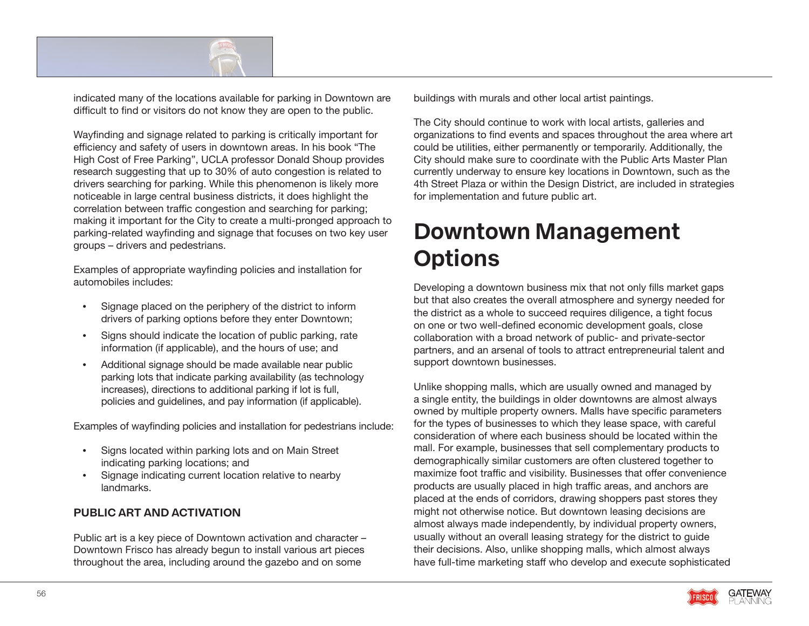

indicated many of the locations available for parking in Downtown are difficult to find or visitors do not know they are open to the public.

Wayfinding and signage related to parking is critically important for efficiency and safety of users in downtown areas. In his book "The High Cost of Free Parking", UCLA professor Donald Shoup provides research suggesting that up to 30% of auto congestion is related to drivers searching for parking. While this phenomenon is likely more noticeable in large central business districts, it does highlight the correlation between traffic congestion and searching for parking; making it important for the City to create a multi-pronged approach to parking-related wayfinding and signage that focuses on two key user groups – drivers and pedestrians.

Examples of appropriate wayfinding policies and installation for automobiles includes:

- Signage placed on the periphery of the district to inform drivers of parking options before they enter Downtown;
- Signs should indicate the location of public parking, rate information (if applicable), and the hours of use; and
- Additional signage should be made available near public parking lots that indicate parking availability (as technology increases), directions to additional parking if lot is full, policies and guidelines, and pay information (if applicable).

Examples of wayfinding policies and installation for pedestrians include:

- Signs located within parking lots and on Main Street indicating parking locations; and
- Signage indicating current location relative to nearby landmarks.

### **PUBLIC ART AND ACTIVATION**

Public art is a key piece of Downtown activation and character – Downtown Frisco has already begun to install various art pieces throughout the area, including around the gazebo and on some

buildings with murals and other local artist paintings.

The City should continue to work with local artists, galleries and organizations to find events and spaces throughout the area where art could be utilities, either permanently or temporarily. Additionally, the City should make sure to coordinate with the Public Arts Master Plan currently underway to ensure key locations in Downtown, such as the 4th Street Plaza or within the Design District, are included in strategies for implementation and future public art.

# **Downtown Management Options**

Developing a downtown business mix that not only fills market gaps but that also creates the overall atmosphere and synergy needed for the district as a whole to succeed requires diligence, a tight focus on one or two well-defined economic development goals, close collaboration with a broad network of public- and private-sector partners, and an arsenal of tools to attract entrepreneurial talent and support downtown businesses.

Unlike shopping malls, which are usually owned and managed by a single entity, the buildings in older downtowns are almost always owned by multiple property owners. Malls have specific parameters for the types of businesses to which they lease space, with careful consideration of where each business should be located within the mall. For example, businesses that sell complementary products to demographically similar customers are often clustered together to maximize foot traffic and visibility. Businesses that offer convenience products are usually placed in high traffic areas, and anchors are placed at the ends of corridors, drawing shoppers past stores they might not otherwise notice. But downtown leasing decisions are almost always made independently, by individual property owners, usually without an overall leasing strategy for the district to guide their decisions. Also, unlike shopping malls, which almost always have full-time marketing staff who develop and execute sophisticated

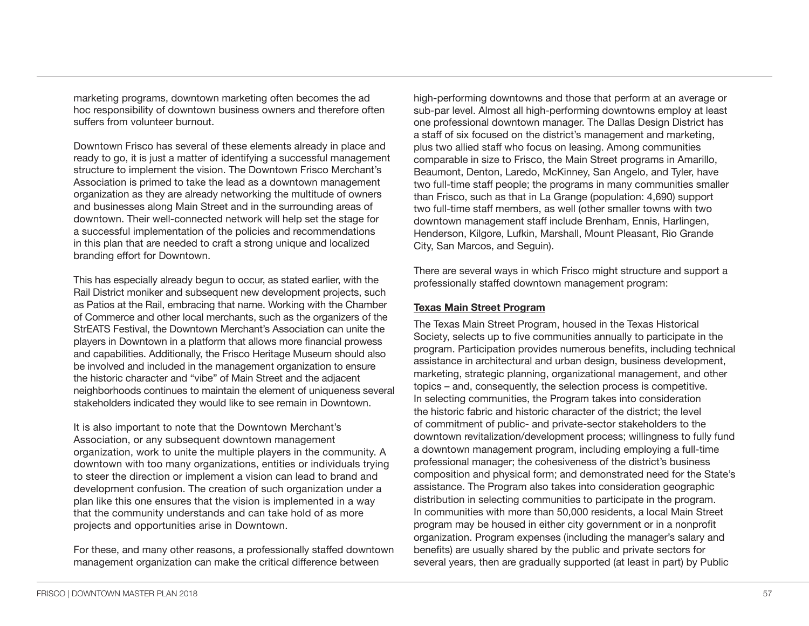marketing programs, downtown marketing often becomes the ad hoc responsibility of downtown business owners and therefore often suffers from volunteer burnout.

Downtown Frisco has several of these elements already in place and ready to go, it is just a matter of identifying a successful management structure to implement the vision. The Downtown Frisco Merchant's Association is primed to take the lead as a downtown management organization as they are already networking the multitude of owners and businesses along Main Street and in the surrounding areas of downtown. Their well-connected network will help set the stage for a successful implementation of the policies and recommendations in this plan that are needed to craft a strong unique and localized branding effort for Downtown.

This has especially already begun to occur, as stated earlier, with the Rail District moniker and subsequent new development projects, such as Patios at the Rail, embracing that name. Working with the Chamber of Commerce and other local merchants, such as the organizers of the StrEATS Festival, the Downtown Merchant's Association can unite the players in Downtown in a platform that allows more financial prowess and capabilities. Additionally, the Frisco Heritage Museum should also be involved and included in the management organization to ensure the historic character and "vibe" of Main Street and the adjacent neighborhoods continues to maintain the element of uniqueness several stakeholders indicated they would like to see remain in Downtown.

It is also important to note that the Downtown Merchant's Association, or any subsequent downtown management organization, work to unite the multiple players in the community. A downtown with too many organizations, entities or individuals trying to steer the direction or implement a vision can lead to brand and development confusion. The creation of such organization under a plan like this one ensures that the vision is implemented in a way that the community understands and can take hold of as more projects and opportunities arise in Downtown.

For these, and many other reasons, a professionally staffed downtown management organization can make the critical difference between

high-performing downtowns and those that perform at an average or sub-par level. Almost all high-performing downtowns employ at least one professional downtown manager. The Dallas Design District has a staff of six focused on the district's management and marketing, plus two allied staff who focus on leasing. Among communities comparable in size to Frisco, the Main Street programs in Amarillo, Beaumont, Denton, Laredo, McKinney, San Angelo, and Tyler, have two full-time staff people; the programs in many communities smaller than Frisco, such as that in La Grange (population: 4,690) support two full-time staff members, as well (other smaller towns with two downtown management staff include Brenham, Ennis, Harlingen, Henderson, Kilgore, Lufkin, Marshall, Mount Pleasant, Rio Grande City, San Marcos, and Seguin).

There are several ways in which Frisco might structure and support a professionally staffed downtown management program:

#### **Texas Main Street Program**

The Texas Main Street Program, housed in the Texas Historical Society, selects up to five communities annually to participate in the program. Participation provides numerous benefits, including technical assistance in architectural and urban design, business development, marketing, strategic planning, organizational management, and other topics – and, consequently, the selection process is competitive. In selecting communities, the Program takes into consideration the historic fabric and historic character of the district; the level of commitment of public- and private-sector stakeholders to the downtown revitalization/development process; willingness to fully fund a downtown management program, including employing a full-time professional manager; the cohesiveness of the district's business composition and physical form; and demonstrated need for the State's assistance. The Program also takes into consideration geographic distribution in selecting communities to participate in the program. In communities with more than 50,000 residents, a local Main Street program may be housed in either city government or in a nonprofit organization. Program expenses (including the manager's salary and benefits) are usually shared by the public and private sectors for several years, then are gradually supported (at least in part) by Public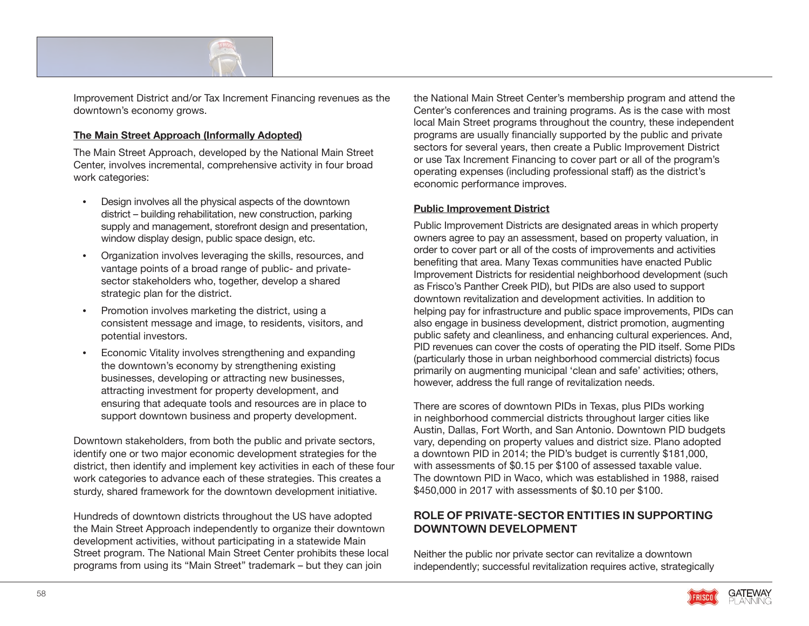

Improvement District and/or Tax Increment Financing revenues as the downtown's economy grows.

#### **The Main Street Approach (Informally Adopted)**

The Main Street Approach, developed by the National Main Street Center, involves incremental, comprehensive activity in four broad work categories:

- Design involves all the physical aspects of the downtown district – building rehabilitation, new construction, parking supply and management, storefront design and presentation, window display design, public space design, etc.
- Organization involves leveraging the skills, resources, and vantage points of a broad range of public- and privatesector stakeholders who, together, develop a shared strategic plan for the district.
- Promotion involves marketing the district, using a consistent message and image, to residents, visitors, and potential investors.
- Economic Vitality involves strengthening and expanding the downtown's economy by strengthening existing businesses, developing or attracting new businesses, attracting investment for property development, and ensuring that adequate tools and resources are in place to support downtown business and property development.

Downtown stakeholders, from both the public and private sectors, identify one or two major economic development strategies for the district, then identify and implement key activities in each of these four work categories to advance each of these strategies. This creates a sturdy, shared framework for the downtown development initiative.

Hundreds of downtown districts throughout the US have adopted the Main Street Approach independently to organize their downtown development activities, without participating in a statewide Main Street program. The National Main Street Center prohibits these local programs from using its "Main Street" trademark – but they can join

the National Main Street Center's membership program and attend the Center's conferences and training programs. As is the case with most local Main Street programs throughout the country, these independent programs are usually financially supported by the public and private sectors for several years, then create a Public Improvement District or use Tax Increment Financing to cover part or all of the program's operating expenses (including professional staff) as the district's economic performance improves.

#### **Public Improvement District**

Public Improvement Districts are designated areas in which property owners agree to pay an assessment, based on property valuation, in order to cover part or all of the costs of improvements and activities benefiting that area. Many Texas communities have enacted Public Improvement Districts for residential neighborhood development (such as Frisco's Panther Creek PID), but PIDs are also used to support downtown revitalization and development activities. In addition to helping pay for infrastructure and public space improvements, PIDs can also engage in business development, district promotion, augmenting public safety and cleanliness, and enhancing cultural experiences. And, PID revenues can cover the costs of operating the PID itself. Some PIDs (particularly those in urban neighborhood commercial districts) focus primarily on augmenting municipal 'clean and safe' activities; others, however, address the full range of revitalization needs.

There are scores of downtown PIDs in Texas, plus PIDs working in neighborhood commercial districts throughout larger cities like Austin, Dallas, Fort Worth, and San Antonio. Downtown PID budgets vary, depending on property values and district size. Plano adopted a downtown PID in 2014; the PID's budget is currently \$181,000, with assessments of \$0.15 per \$100 of assessed taxable value. The downtown PID in Waco, which was established in 1988, raised \$450,000 in 2017 with assessments of \$0.10 per \$100.

## **ROLE OF PRIVATE-SECTOR ENTITIES IN SUPPORTING DOWNTOWN DEVELOPMENT**

Neither the public nor private sector can revitalize a downtown independently; successful revitalization requires active, strategically

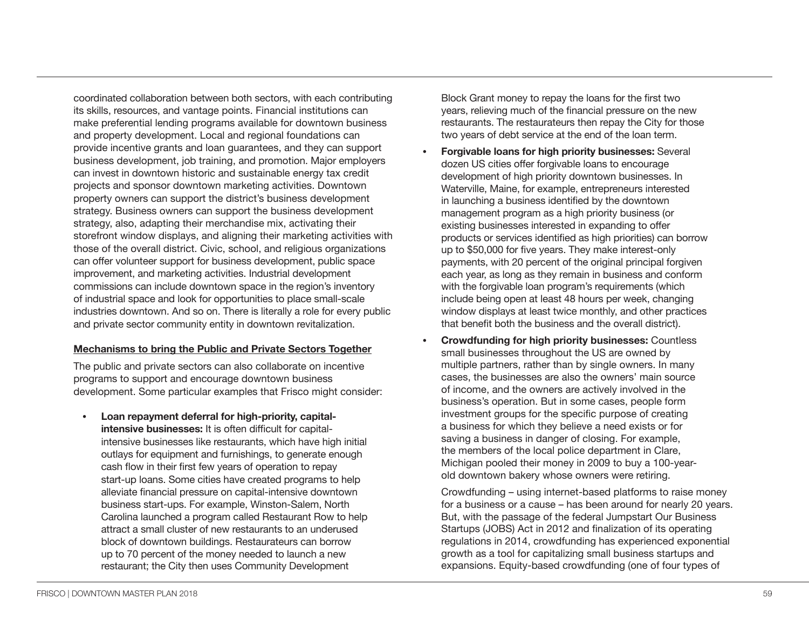coordinated collaboration between both sectors, with each contributing its skills, resources, and vantage points. Financial institutions can make preferential lending programs available for downtown business and property development. Local and regional foundations can provide incentive grants and loan guarantees, and they can support business development, job training, and promotion. Major employers can invest in downtown historic and sustainable energy tax credit projects and sponsor downtown marketing activities. Downtown property owners can support the district's business development strategy. Business owners can support the business development strategy, also, adapting their merchandise mix, activating their storefront window displays, and aligning their marketing activities with those of the overall district. Civic, school, and religious organizations can offer volunteer support for business development, public space improvement, and marketing activities. Industrial development commissions can include downtown space in the region's inventory of industrial space and look for opportunities to place small-scale industries downtown. And so on. There is literally a role for every public and private sector community entity in downtown revitalization.

#### **Mechanisms to bring the Public and Private Sectors Together**

The public and private sectors can also collaborate on incentive programs to support and encourage downtown business development. Some particular examples that Frisco might consider:

**• Loan repayment deferral for high-priority, capitalintensive businesses:** It is often difficult for capitalintensive businesses like restaurants, which have high initial outlays for equipment and furnishings, to generate enough cash flow in their first few years of operation to repay start-up loans. Some cities have created programs to help alleviate financial pressure on capital-intensive downtown business start-ups. For example, Winston-Salem, North Carolina launched a program called Restaurant Row to help attract a small cluster of new restaurants to an underused block of downtown buildings. Restaurateurs can borrow up to 70 percent of the money needed to launch a new restaurant; the City then uses Community Development

Block Grant money to repay the loans for the first two years, relieving much of the financial pressure on the new restaurants. The restaurateurs then repay the City for those two years of debt service at the end of the loan term.

- **• Forgivable loans for high priority businesses:** Several dozen US cities offer forgivable loans to encourage development of high priority downtown businesses. In Waterville, Maine, for example, entrepreneurs interested in launching a business identified by the downtown management program as a high priority business (or existing businesses interested in expanding to offer products or services identified as high priorities) can borrow up to \$50,000 for five years. They make interest-only payments, with 20 percent of the original principal forgiven each year, as long as they remain in business and conform with the forgivable loan program's requirements (which include being open at least 48 hours per week, changing window displays at least twice monthly, and other practices that benefit both the business and the overall district).
- **• Crowdfunding for high priority businesses:** Countless small businesses throughout the US are owned by multiple partners, rather than by single owners. In many cases, the businesses are also the owners' main source of income, and the owners are actively involved in the business's operation. But in some cases, people form investment groups for the specific purpose of creating a business for which they believe a need exists or for saving a business in danger of closing. For example, the members of the local police department in Clare, Michigan pooled their money in 2009 to buy a 100-yearold downtown bakery whose owners were retiring.

Crowdfunding – using internet-based platforms to raise money for a business or a cause – has been around for nearly 20 years. But, with the passage of the federal Jumpstart Our Business Startups (JOBS) Act in 2012 and finalization of its operating regulations in 2014, crowdfunding has experienced exponential growth as a tool for capitalizing small business startups and expansions. Equity-based crowdfunding (one of four types of